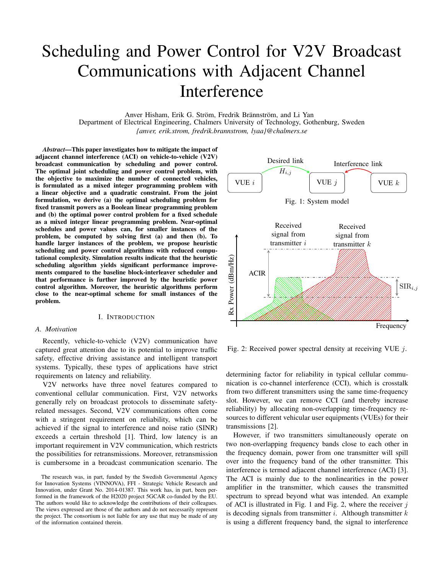# Scheduling and Power Control for V2V Broadcast Communications with Adjacent Channel Interference

Anver Hisham, Erik G. Ström, Fredrik Brännström, and Li Yan

Department of Electrical Engineering, Chalmers University of Technology, Gothenburg, Sweden *{anver, erik.strom, fredrik.brannstrom, lyaa}@chalmers.se*

*Abstract*—This paper investigates how to mitigate the impact of adjacent channel interference (ACI) on vehicle-to-vehicle (V2V) broadcast communication by scheduling and power control. The optimal joint scheduling and power control problem, with the objective to maximize the number of connected vehicles, is formulated as a mixed integer programming problem with a linear objective and a quadratic constraint. From the joint formulation, we derive (a) the optimal scheduling problem for fixed transmit powers as a Boolean linear programming problem and (b) the optimal power control problem for a fixed schedule as a mixed integer linear programming problem. Near-optimal schedules and power values can, for smaller instances of the problem, be computed by solving first (a) and then (b). To handle larger instances of the problem, we propose heuristic scheduling and power control algorithms with reduced computational complexity. Simulation results indicate that the heuristic scheduling algorithm yields significant performance improvements compared to the baseline block-interleaver scheduler and that performance is further improved by the heuristic power control algorithm. Moreover, the heuristic algorithms perform close to the near-optimal scheme for small instances of the problem.

#### I. INTRODUCTION

#### *A. Motivation*

Recently, vehicle-to-vehicle (V2V) communication have captured great attention due to its potential to improve traffic safety, effective driving assistance and intelligent transport systems. Typically, these types of applications have strict requirements on latency and reliability.

V2V networks have three novel features compared to conventional cellular communication. First, V2V networks generally rely on broadcast protocols to disseminate safetyrelated messages. Second, V2V communications often come with a stringent requirement on reliability, which can be achieved if the signal to interference and noise ratio (SINR) exceeds a certain threshold [1]. Third, low latency is an important requirement in V2V communication, which restricts the possibilities for retransmissions. Moreover, retransmission is cumbersome in a broadcast communication scenario. The



Fig. 2: Received power spectral density at receiving VUE j.

determining factor for reliability in typical cellular communication is co-channel interference (CCI), which is crosstalk from two different transmitters using the same time-frequency slot. However, we can remove CCI (and thereby increase reliability) by allocating non-overlapping time-frequency resources to different vehicular user equipments (VUEs) for their transmissions [2].

However, if two transmitters simultaneously operate on two non-overlapping frequency bands close to each other in the frequency domain, power from one transmitter will spill over into the frequency band of the other transmitter. This interference is termed adjacent channel interference (ACI) [3]. The ACI is mainly due to the nonlinearities in the power amplifier in the transmitter, which causes the transmitted spectrum to spread beyond what was intended. An example of ACI is illustrated in Fig. 1 and Fig. 2, where the receiver  $j$ is decoding signals from transmitter  $i$ . Although transmitter  $k$ is using a different frequency band, the signal to interference

The research was, in part, funded by the Swedish Governmental Agency for Innovation Systems (VINNOVA), FFI - Strategic Vehicle Research and Innovation, under Grant No. 2014-01387. This work has, in part, been performed in the framework of the H2020 project 5GCAR co-funded by the EU. The authors would like to acknowledge the contributions of their colleagues. The views expressed are those of the authors and do not necessarily represent the project. The consortium is not liable for any use that may be made of any of the information contained therein.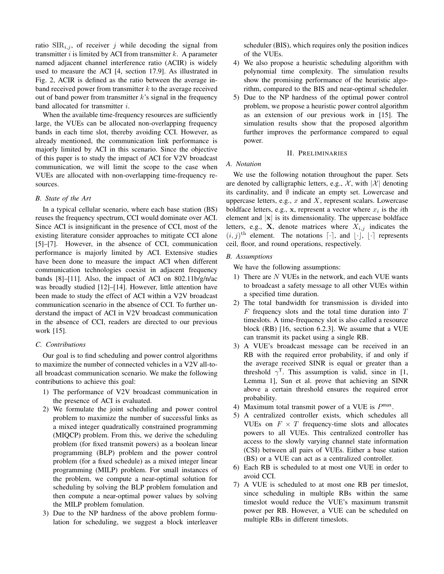ratio  $\text{SIR}_{i,j}$ , of receiver j while decoding the signal from transmitter  $i$  is limited by ACI from transmitter  $k$ . A parameter named adjacent channel interference ratio (ACIR) is widely used to measure the ACI [4, section 17.9]. As illustrated in Fig. 2, ACIR is defined as the ratio between the average inband received power from transmitter  $k$  to the average received out of band power from transmitter  $k$ 's signal in the frequency band allocated for transmitter  $i$ .

When the available time-frequency resources are sufficiently large, the VUEs can be allocated non-overlapping frequency bands in each time slot, thereby avoiding CCI. However, as already mentioned, the communication link performance is majorly limited by ACI in this scenario. Since the objective of this paper is to study the impact of ACI for V2V broadcast communication, we will limit the scope to the case when VUEs are allocated with non-overlapping time-frequency resources.

## *B. State of the Art*

In a typical cellular scenario, where each base station (BS) reuses the frequency spectrum, CCI would dominate over ACI. Since ACI is insignificant in the presence of CCI, most of the existing literature consider approaches to mitigate CCI alone [5]–[7]. However, in the absence of CCI, communication performance is majorly limited by ACI. Extensive studies have been done to measure the impact ACI when different communication technologies coexist in adjacent frequency bands [8]–[11]. Also, the impact of ACI on 802.11b/g/n/ac was broadly studied [12]–[14]. However, little attention have been made to study the effect of ACI within a V2V broadcast communication scenario in the absence of CCI. To further understand the impact of ACI in V2V broadcast communication in the absence of CCI, readers are directed to our previous work [15].

# *C. Contributions*

Our goal is to find scheduling and power control algorithms to maximize the number of connected vehicles in a V2V all-toall broadcast communication scenario. We make the following contributions to achieve this goal:

- 1) The performance of V2V broadcast communication in the presence of ACI is evaluated.
- 2) We formulate the joint scheduling and power control problem to maximize the number of successful links as a mixed integer quadratically constrained programming (MIQCP) problem. From this, we derive the scheduling problem (for fixed transmit powers) as a boolean linear programming (BLP) problem and the power control problem (for a fixed schedule) as a mixed integer linear programming (MILP) problem. For small instances of the problem, we compute a near-optimal solution for scheduling by solving the BLP problem fomulation and then compute a near-optimal power values by solving the MILP problem fomulation.
- 3) Due to the NP hardness of the above problem formulation for scheduling, we suggest a block interleaver

scheduler (BIS), which requires only the position indices of the VUEs.

- 4) We also propose a heuristic scheduling algorithm with polynomial time complexity. The simulation results show the promising performance of the heuristic algorithm, compared to the BIS and near-optimal scheduler.
- 5) Due to the NP hardness of the optimal power control problem, we propose a heuristic power control algorithm as an extension of our previous work in [15]. The simulation results show that the proposed algorithm further improves the performance compared to equal power.

## II. PRELIMINARIES

## *A. Notation*

We use the following notation throughout the paper. Sets are denoted by calligraphic letters, e.g.,  $\mathcal{X}$ , with  $|\mathcal{X}|$  denoting its cardinality, and  $\emptyset$  indicate an empty set. Lowercase and uppercase letters, e.g.,  $x$  and  $X$ , represent scalars. Lowercase boldface letters, e.g., x, represent a vector where  $x_i$  is the *i*th element and  $|x|$  is its dimensionality. The uppercase boldface letters, e.g., **X**, denote matrices where  $X_{i,j}$  indicates the  $(i, j)$ <sup>th</sup> element. The notations  $\lceil \cdot \rceil$ , and  $\lfloor \cdot \rfloor$ ,  $\lfloor \cdot \rceil$  represents ceil, floor, and round operations, respectively.

## *B. Assumptions*

We have the following assumptions:

- 1) There are  $N$  VUEs in the network, and each VUE wants to broadcast a safety message to all other VUEs within a specified time duration.
- 2) The total bandwidth for transmission is divided into  $F$  frequency slots and the total time duration into  $T$ timeslots. A time-frequency slot is also called a resource block (RB) [16, section 6.2.3]. We assume that a VUE can transmit its packet using a single RB.
- 3) A VUE's broadcast message can be received in an RB with the required error probability, if and only if the average received SINR is equal or greater than a threshold  $\gamma^T$ . This assumption is valid, since in [1, Lemma 1], Sun et al. prove that achieving an SINR above a certain threshold ensures the required error probability.
- 4) Maximum total transmit power of a VUE is  $P^{\max}$ .
- 5) A centralized controller exists, which schedules all VUEs on  $F \times T$  frequency-time slots and allocates powers to all VUEs. This centralized controller has access to the slowly varying channel state information (CSI) between all pairs of VUEs. Either a base station (BS) or a VUE can act as a centralized controller.
- 6) Each RB is scheduled to at most one VUE in order to avoid CCI.
- 7) A VUE is scheduled to at most one RB per timeslot, since scheduling in multiple RBs within the same timeslot would reduce the VUE's maximum transmit power per RB. However, a VUE can be scheduled on multiple RBs in different timeslots.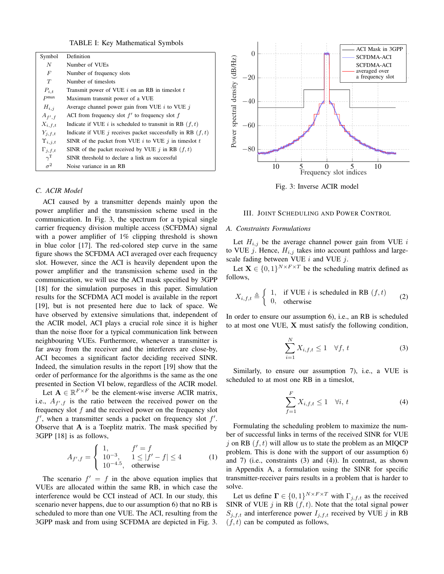TABLE I: Key Mathematical Symbols

| Symbol                | Definition                                                    |  |
|-----------------------|---------------------------------------------------------------|--|
| N                     | Number of VUEs                                                |  |
| F                     | Number of frequency slots                                     |  |
| T                     | Number of timeslots                                           |  |
| $P_{i,t}$             | Transmit power of VUE $i$ on an RB in times lot $t$           |  |
| P <sub>max</sub>      | Maximum transmit power of a VUE                               |  |
| $H_{i,j}$             | Average channel power gain from VUE $i$ to VUE $j$            |  |
| $A_{f',f}$            | ACI from frequency slot $f'$ to frequency slot f              |  |
| $X_{i,f,t}$           | Indicate if VUE i is scheduled to transmit in RB $(f, t)$     |  |
| $Y_{i,f,t}$           | Indicate if VUE j receives packet successfully in RB $(f, t)$ |  |
| $\Upsilon_{i,j,t}$    | SINR of the packet from VUE $i$ to VUE $j$ in times lot $t$   |  |
| $\Gamma_{i,f,t}$      | SINR of the packet received by VUE j in RB $(f, t)$           |  |
| $\gamma^{\mathrm{T}}$ | SINR threshold to declare a link as successful                |  |
| $\sigma^2$            | Noise variance in an RB                                       |  |

## *C. ACIR Model*

ACI caused by a transmitter depends mainly upon the power amplifier and the transmission scheme used in the communication. In Fig. 3, the spectrum for a typical single carrier frequency division multiple access (SCFDMA) signal with a power amplifier of 1% clipping threshold is shown in blue color [17]. The red-colored step curve in the same figure shows the SCFDMA ACI averaged over each frequency slot. However, since the ACI is heavily dependent upon the power amplifier and the transmission scheme used in the communication, we will use the ACI mask specified by 3GPP [18] for the simulation purposes in this paper. Simulation results for the SCFDMA ACI model is available in the report [19], but is not presented here due to lack of space. We have observed by extensive simulations that, independent of the ACIR model, ACI plays a crucial role since it is higher than the noise floor for a typical communication link between neighbouring VUEs. Furthermore, whenever a transmitter is far away from the receiver and the interferers are close-by, ACI becomes a significant factor deciding received SINR. Indeed, the simulation results in the report [19] show that the order of performance for the algorithms is the same as the one presented in Section VI below, regardless of the ACIR model.

Let  $\mathbf{A} \in \mathbb{R}^{F \times F}$  be the element-wise inverse ACIR matrix, i.e.,  $A_{f',f}$  is the ratio between the received power on the frequency slot  $f$  and the received power on the frequency slot  $f'$ , when a transmitter sends a packet on frequency slot  $f'$ . Observe that A is a Toeplitz matrix. The mask specified by 3GPP [18] is as follows,

$$
A_{f',f} = \begin{cases} 1, & f' = f \\ 10^{-3}, & 1 \le |f' - f| \le 4 \\ 10^{-4.5}, & \text{otherwise} \end{cases} \tag{1}
$$

The scenario  $f' = f$  in the above equation implies that VUEs are allocated within the same RB, in which case the interference would be CCI instead of ACI. In our study, this scenario never happens, due to our assumption 6) that no RB is scheduled to more than one VUE. The ACI, resulting from the 3GPP mask and from using SCFDMA are depicted in Fig. 3.



Fig. 3: Inverse ACIR model

#### III. JOINT SCHEDULING AND POWER CONTROL

#### *A. Constraints Formulations*

Let  $H_{i,j}$  be the average channel power gain from VUE i to VUE  $j$ . Hence,  $H_{i,j}$  takes into account pathloss and largescale fading between VUE  $i$  and VUE  $j$ .

Let  $X \in \{0,1\}^{N \times F \times T}$  be the scheduling matrix defined as follows,

$$
X_{i,f,t} \triangleq \begin{cases} 1, & \text{if VUE } i \text{ is scheduled in RB } (f,t) \\ 0, & \text{otherwise} \end{cases}
$$
 (2)

In order to ensure our assumption 6), i.e., an RB is scheduled to at most one VUE, X must satisfy the following condition,

$$
\sum_{i=1}^{N} X_{i,f,t} \le 1 \quad \forall f, t \tag{3}
$$

Similarly, to ensure our assumption 7), i.e., a VUE is scheduled to at most one RB in a timeslot,

$$
\sum_{f=1}^{F} X_{i,f,t} \le 1 \quad \forall i, t \tag{4}
$$

Formulating the scheduling problem to maximize the number of successful links in terms of the received SINR for VUE j on RB  $(f, t)$  will allow us to state the problem as an MIQCP problem. This is done with the support of our assumption 6) and 7) (i.e., constraints (3) and (4)). In contrast, as shown in Appendix A, a formulation using the SINR for specific transmitter-receiver pairs results in a problem that is harder to solve.

Let us define  $\mathbf{\Gamma} \in \{0,1\}^{N \times F \times T}$  with  $\Gamma_{j,f,t}$  as the received SINR of VUE  $j$  in RB  $(f, t)$ . Note that the total signal power  $S_{j,f,t}$  and interference power  $I_{j,f,t}$  received by VUE j in RB  $(f, t)$  can be computed as follows,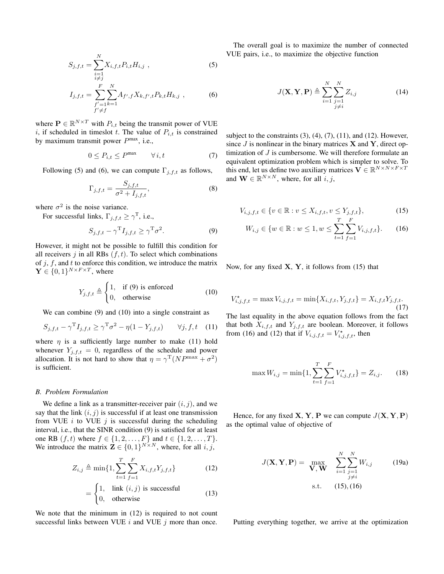$$
S_{j,f,t} = \sum_{\substack{i=1\\i \neq j}}^{N} X_{i,f,t} P_{i,t} H_{i,j} , \qquad (5)
$$

$$
I_{j,f,t} = \sum_{\substack{f'=1\\f'\neq f}}^{F} \sum_{k=1}^{N} A_{f',f} X_{k,f',t} P_{k,t} H_{k,j} , \qquad (6)
$$

where  $\mathbf{P} \in \mathbb{R}^{N \times T}$  with  $P_{i,t}$  being the transmit power of VUE i, if scheduled in timeslot t. The value of  $P_{i,t}$  is constrained by maximum transmit power  $P^{\text{max}}$ , i.e.,

$$
0 \le P_{i,t} \le P^{\max} \qquad \forall \, i, t \tag{7}
$$

Following (5) and (6), we can compute  $\Gamma_{j,f,t}$  as follows,

$$
\Gamma_{j,f,t} = \frac{S_{j,f,t}}{\sigma^2 + I_{j,f,t}},\tag{8}
$$

where  $\sigma^2$  is the noise variance.

For successful links,  $\Gamma_{j,f,t} \geq \gamma^{\mathrm{T}}$ , i.e.,

$$
S_{j,f,t} - \gamma^{\mathrm{T}} I_{j,f,t} \ge \gamma^{\mathrm{T}} \sigma^2.
$$
 (9)

However, it might not be possible to fulfill this condition for all receivers j in all RBs  $(f, t)$ . To select which combinations of  $j, f$ , and  $t$  to enforce this condition, we introduce the matrix  $\mathbf{Y} \in \{0,1\}^{N \times F \times T}$ , where

$$
Y_{j,f,t} \triangleq \begin{cases} 1, & \text{if (9) is enforced} \\ 0, & \text{otherwise} \end{cases}
$$
 (10)

We can combine (9) and (10) into a single constraint as

$$
S_{j,f,t} - \gamma^{\mathrm{T}} I_{j,f,t} \ge \gamma^{\mathrm{T}} \sigma^2 - \eta (1 - Y_{j,f,t}) \qquad \forall j, f, t \quad (11)
$$

where  $\eta$  is a sufficiently large number to make (11) hold whenever  $Y_{j,f,t} = 0$ , regardless of the schedule and power allocation. It is not hard to show that  $\eta = \gamma^{\text{T}}(NP^{\text{max}} + \sigma^2)$ is sufficient.

## *B. Problem Formulation*

We define a link as a transmitter-receiver pair  $(i, j)$ , and we say that the link  $(i, j)$  is successful if at least one transmission from VUE  $i$  to VUE  $j$  is successful during the scheduling interval, i.e., that the SINR condition (9) is satisfied for at least one RB  $(f, t)$  where  $f \in \{1, 2, ..., F\}$  and  $t \in \{1, 2, ..., T\}$ . We introduce the matrix  $\mathbf{Z} \in \{0,1\}^{N \times N}$ , where, for all  $i, j$ ,

$$
Z_{i,j} \triangleq \min\{1, \sum_{t=1}^{T} \sum_{f=1}^{F} X_{i,f,t} Y_{j,f,t}\}
$$
 (12)

$$
= \begin{cases} 1, & \text{link } (i,j) \text{ is successful} \\ 0, & \text{otherwise} \end{cases}
$$
 (13)

We note that the minimum in (12) is required to not count successful links between VUE  $i$  and VUE  $j$  more than once.

The overall goal is to maximize the number of connected VUE pairs, i.e., to maximize the objective function

$$
J(\mathbf{X}, \mathbf{Y}, \mathbf{P}) \triangleq \sum_{i=1}^{N} \sum_{\substack{j=1 \ j \neq i}}^{N} Z_{i,j}
$$
 (14)

subject to the constraints  $(3)$ ,  $(4)$ ,  $(7)$ ,  $(11)$ , and  $(12)$ . However, since  $J$  is nonlinear in the binary matrices  $X$  and  $Y$ , direct optimization of  $J$  is cumbersome. We will therefore formulate an equivalent optimization problem which is simpler to solve. To this end, let us define two auxiliary matrices  $\mathbf{V} \in \mathbb{R}^{N \times N \times F \times T}$ and  $\mathbf{W} \in \mathbb{R}^{N \times N}$ , where, for all  $i, j$ ,

$$
V_{i,j,f,t} \in \{v \in \mathbb{R} : v \le X_{i,f,t}, v \le Y_{j,f,t}\},\tag{15}
$$

$$
W_{i,j} \in \{w \in \mathbb{R} : w \le 1, w \le \sum_{t=1}^{I} \sum_{f=1}^{r} V_{i,j,f,t} \}.
$$
 (16)

Now, for any fixed  $X$ ,  $Y$ , it follows from (15) that

$$
V_{i,j,f,t}^{\star} = \max V_{i,j,f,t} = \min\{X_{i,f,t}, Y_{j,f,t}\} = X_{i,f,t}Y_{j,f,t}.
$$
\n(17)

The last equality in the above equation follows from the fact that both  $X_{i,f,t}$  and  $Y_{j,f,t}$  are boolean. Moreover, it follows from (16) and (12) that if  $V_{i,j,f,t} = V_{i,j,f,t}^{\star}$ , then

$$
\max W_{i,j} = \min\{1, \sum_{t=1}^{T} \sum_{f=1}^{F} V_{i,j,f,t}^{\star}\} = Z_{i,j}.
$$
 (18)

Hence, for any fixed  $X, Y, P$  we can compute  $J(X, Y, P)$ as the optimal value of objective of

$$
J(\mathbf{X}, \mathbf{Y}, \mathbf{P}) = \max_{\mathbf{V}, \mathbf{W}} \sum_{i=1}^{N} \sum_{\substack{j=1 \ j \neq i}}^{N} W_{i,j}
$$
(19a)  
s.t. (15), (16)

Putting everything together, we arrive at the optimization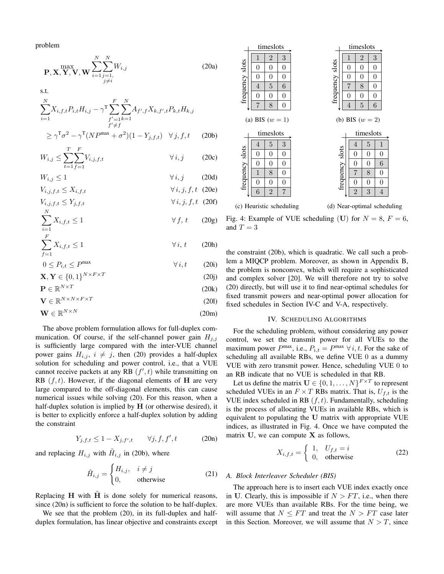problem

$$
\mathbf{P}, \mathbf{X}, \mathbf{Y}, \mathbf{V}, \mathbf{W} \sum_{i=1}^{N} \sum_{\substack{j=1, \\ j \neq i}}^{N} W_{i,j}
$$
 (20a)

s.t.

$$
\sum_{i=1}^{N} X_{i,f,t} P_{i,t} H_{i,j} - \gamma^{\text{T}} \sum_{\substack{f'=1\\f'\neq f}}^{F} \sum_{k=1}^{N} A_{f',f} X_{k,f',t} P_{k,t} H_{k,j}
$$
\n
$$
\geq \gamma^{\text{T}} \sigma^2 - \gamma^{\text{T}} (NP^{\max} + \sigma^2)(1 - Y_{j,f,t}) \quad \forall j, f, t \qquad (20b)
$$

$$
W_{i,j} \le \sum_{t=1}^T \sum_{f=1}^F V_{i,j,f,t} \qquad \forall i, j \qquad (20c)
$$

$$
W_{i,j} \le 1 \qquad \forall i, j \qquad (20d)
$$
  

$$
V_{i,j \, f, t} < X_{i \, f, t} \qquad \forall i, j, f, t \quad (20e)
$$

$$
V_{i,j,j,t,t} \leq Y_{j,f,t}
$$
\n
$$
\forall i, j, f, t \quad (20f)
$$

$$
\sum_{i=1}^{N} X_{i,f,t} \le 1 \qquad \forall f, t \qquad (20g)
$$

$$
\sum_{f=1}^{F} X_{i,f,t} \le 1 \qquad \forall i, t \qquad \text{(20h)}
$$
  
0 < P<sub>i,t</sub> < P<sup>max</sup>  $\forall i, t \qquad \text{(20i)}$ 

$$
0 \le P_{i,t} \le P^{\max} \qquad \qquad \forall i, t \qquad (20i)
$$
  

$$
\mathbf{X}, \mathbf{Y} \in \{0, 1\}^{N \times F \times T} \qquad (20j)
$$

$$
\mathbf{P} \in \mathbb{R}^{N \times T} \tag{20k}
$$

$$
\mathbf{V} \in \mathbb{R}^{N \times N \times F \times T}
$$
 (201)

$$
\mathbf{W} \in \mathbb{R}^{N \times N} \tag{20m}
$$

The above problem formulation allows for full-duplex communication. Of course, if the self-channel power gain  $H_{j,j}$ is sufficiently large compared with the inter-VUE channel power gains  $H_{i,j}$ ,  $i \neq j$ , then (20) provides a half-duplex solution for scheduling and power control, i.e., that a VUE cannot receive packets at any RB  $(f', t)$  while transmitting on RB  $(f, t)$ . However, if the diagonal elements of **H** are very large compared to the off-diagonal elements, this can cause numerical issues while solving (20). For this reason, when a half-duplex solution is implied by  $H$  (or otherwise desired), it is better to explicitly enforce a half-duplex solution by adding the constraint

$$
Y_{j,f,t} \le 1 - X_{j,f',t} \qquad \forall j, f, f', t \tag{20n}
$$

and replacing  $H_{i,j}$  with  $\tilde{H}_{i,j}$  in (20b), where

$$
\tilde{H}_{i,j} = \begin{cases} H_{i,j}, & i \neq j \\ 0, & \text{otherwise} \end{cases}
$$
 (21)

Replacing  $H$  with  $\tilde{H}$  is done solely for numerical reasons, since (20n) is sufficient to force the solution to be half-duplex.

We see that the problem (20), in its full-duplex and halfduplex formulation, has linear objective and constraints except



Fig. 4: Example of VUE scheduling (U) for  $N = 8$ ,  $F = 6$ , and  $T = 3$ 

the constraint (20b), which is quadratic. We call such a problem a MIQCP problem. Moreover, as shown in Appendix B, the problem is nonconvex, which will require a sophisticated and complex solver [20]. We will therefore not try to solve (20) directly, but will use it to find near-optimal schedules for fixed transmit powers and near-optimal power allocation for fixed schedules in Section IV-C and V-A, respectively.

# IV. SCHEDULING ALGORITHMS

For the scheduling problem, without considering any power control, we set the transmit power for all VUEs to the maximum power  $P^{\max}$ , i.e.,  $P_{i,t} = P^{\max} \ \forall i, t$ . For the sake of scheduling all available RBs, we define VUE 0 as a dummy VUE with zero transmit power. Hence, scheduling VUE 0 to an RB indicate that no VUE is scheduled in that RB.

Let us define the matrix  $\mathbf{U} \in \{0, 1, ..., N\}^{F \times T}$  to represent scheduled VUEs in an  $F \times T$  RBs matrix. That is,  $U_{f,t}$  is the VUE index scheduled in RB  $(f, t)$ . Fundamentally, scheduling is the process of allocating VUEs in available RBs, which is equivalent to populating the U matrix with appropriate VUE indices, as illustrated in Fig. 4. Once we have computed the matrix  $U$ , we can compute  $X$  as follows,

$$
X_{i,f,t} = \begin{cases} 1, & U_{f,t} = i \\ 0, & \text{otherwise} \end{cases}
$$
 (22)

#### *A. Block Interleaver Scheduler (BIS)*

The approach here is to insert each VUE index exactly once in U. Clearly, this is impossible if  $N > FT$ , i.e., when there are more VUEs than available RBs. For the time being, we will assume that  $N \leq FT$  and treat the  $N > FT$  case later in this Section. Moreover, we will assume that  $N > T$ , since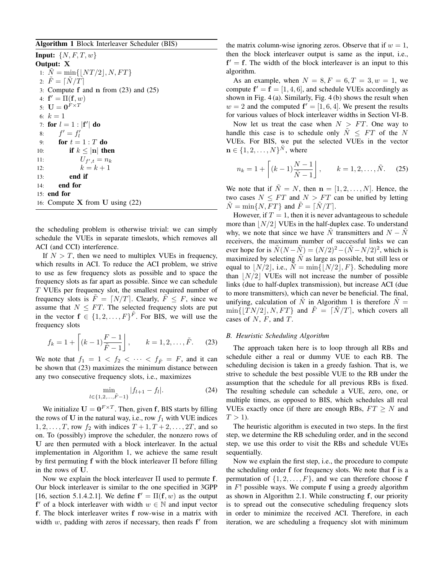## Algorithm 1 Block Interleaver Scheduler (BIS)

**Input:**  $\{N, F, T, w\}$ Output: X 1:  $N = \min\{|NT/2|, N, FT\}$ 2:  $F = \lceil N/T \rceil$ 3: Compute f and n from (23) and (25) 4:  $f' = \Pi(f, w)$ 5:  $\mathbf{U} = \mathbf{0}^{F \times T}$ 6:  $k = 1$ 7: for  $l = 1$  :  $|\mathbf{f}'|$  do 8:  $f' = f'_l$ 9: for  $t = 1 : T$  do 10: if  $k \leq |\mathbf{n}|$  then 11:  $U_{f',t} = n_k$ 12:  $k = k + 1$ 13: end if 14: end for 15: end for 16: Compute  $X$  from U using  $(22)$ 

the scheduling problem is otherwise trivial: we can simply schedule the VUEs in separate timeslots, which removes all ACI (and CCI) interference.

If  $N > T$ , then we need to multiplex VUEs in frequency, which results in ACI. To reduce the ACI problem, we strive to use as few frequency slots as possible and to space the frequency slots as far apart as possible. Since we can schedule T VUEs per frequency slot, the smallest required number of frequency slots is  $\tilde{F} = [N/T]$ . Clearly,  $\tilde{F} \leq F$ , since we assume that  $N \leq FT$ . The selected frequency slots are put in the vector  $f \in \{1, 2, ..., F\}^{\tilde{F}}$ . For BIS, we will use the frequency slots

$$
f_k = 1 + \left[ (k-1)\frac{F-1}{\tilde{F}-1} \right], \qquad k = 1, 2, \dots, \tilde{F}.
$$
 (23)

We note that  $f_1 = 1 < f_2 < \cdots < f_{\tilde{F}} = F$ , and it can be shown that (23) maximizes the minimum distance between any two consecutive frequency slots, i.e., maximizes

$$
\min_{l \in \{1, 2, \dots, \tilde{F} - 1\}} |f_{l+1} - f_l|.
$$
 (24)

We initialize  $U = 0^{F \times T}$ . Then, given f, BIS starts by filling the rows of U in the natural way, i.e., row  $f_1$  with VUE indices  $1, 2, \ldots, T$ , row  $f_2$  with indices  $T + 1, T + 2, \ldots, 2T$ , and so on. To (possibly) improve the scheduler, the nonzero rows of U are then permuted with a block interleaver. In the actual implementation in Algorithm 1, we achieve the same result by first permuting f with the block interleaver Π before filling in the rows of U.

Now we explain the block interleaver Π used to permute f. Our block interleaver is similar to the one specified in 3GPP [16, section 5.1.4.2.1]. We define  $f' = \Pi(f, w)$  as the output  $f'$  of a block interleaver with width  $w \in \mathbb{N}$  and input vector f. The block interleaver writes f row-wise in a matrix with width  $w$ , padding with zeros if necessary, then reads  $f'$  from the matrix column-wise ignoring zeros. Observe that if  $w = 1$ , then the block interleaver output is same as the input, i.e.,  $f' = f$ . The width of the block interleaver is an input to this algorithm.

As an example, when  $N = 8, F = 6, T = 3, w = 1$ , we compute  $f' = f = [1, 4, 6]$ , and schedule VUEs accordingly as shown in Fig.  $4(a)$ . Similarly, Fig.  $4(b)$  shows the result when  $w = 2$  and the computed  $f' = [1, 6, 4]$ . We present the results for various values of block interleaver widths in Section VI-B.

Now let us treat the case when  $N > FT$ . One way to handle this case is to schedule only  $\tilde{N} \leq FT$  of the N VUEs. For BIS, we put the selected VUEs in the vector  $\mathbf{n} \in \{1, 2, \dots, N\}^{\tilde{N}}$ , where

$$
n_k = 1 + \left[ (k-1)\frac{N-1}{\tilde{N}-1} \right], \qquad k = 1, 2, \dots, \tilde{N}.
$$
 (25)

We note that if  $\tilde{N} = N$ , then  $n = [1, 2, \dots, N]$ . Hence, the two cases  $N \leq FT$  and  $N > FT$  can be unified by letting  $\tilde{N} = \min\{N, FT\}$  and  $\tilde{F} = \lceil \tilde{N}/T \rceil$ .

However, if  $T = 1$ , then it is never advantageous to schedule more than  $|N/2|$  VUEs in the half-duplex case. To understand why, we note that since we have  $\tilde{N}$  transmitters and  $N - \tilde{N}$ receivers, the maximum number of successful links we can ever hope for is  $\tilde{N}(N-\tilde{N}) = (N/2)^2 - (\tilde{N} - N/2)^2$ , which is maximized by selecting  $\tilde{N}$  as large as possible, but still less or equal to  $\vert N/2\vert$ , i.e.,  $\tilde{N} = \min\{\vert N/2\vert, F\}$ . Scheduling more than  $|N/2|$  VUEs will not increase the number of possible links (due to half-duplex transmission), but increase ACI (due to more transmitters), which can never be beneficial. The final, unifying, calculation of  $\tilde{N}$  in Algorithm 1 is therefore  $\tilde{N} =$  $\min\{|TN/2|, N, FT\}$  and  $\tilde{F} = [\tilde{N}/T]$ , which covers all cases of  $N$ ,  $F$ , and  $T$ .

## *B. Heuristic Scheduling Algorithm*

The approach taken here is to loop through all RBs and schedule either a real or dummy VUE to each RB. The scheduling decision is taken in a greedy fashion. That is, we strive to schedule the best possible VUE to the RB under the assumption that the schedule for all previous RBs is fixed. The resulting schedule can schedule a VUE, zero, one, or multiple times, as opposed to BIS, which schedules all real VUEs exactly once (if there are enough RBs,  $FT \geq N$  and  $T > 1$ ).

The heuristic algorithm is executed in two steps. In the first step, we determine the RB scheduling order, and in the second step, we use this order to visit the RBs and schedule VUEs sequentially.

Now we explain the first step, i.e., the procedure to compute the scheduling order f for frequency slots. We note that f is a permutation of  $\{1, 2, \ldots, F\}$ , and we can therefore choose f in  $F!$  possible ways. We compute f using a greedy algorithm as shown in Algorithm 2.1. While constructing f, our priority is to spread out the consecutive scheduling frequency slots in order to minimize the received ACI. Therefore, in each iteration, we are scheduling a frequency slot with minimum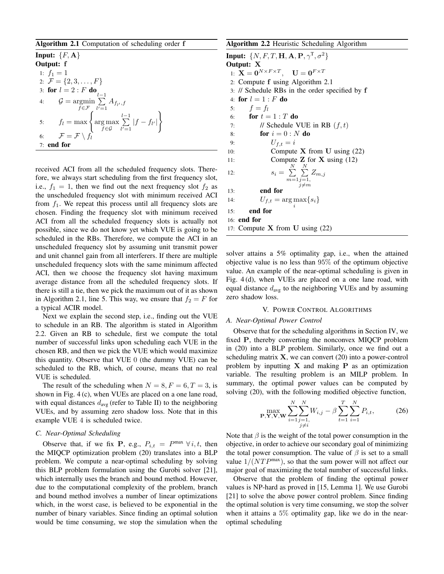## Algorithm 2.1 Computation of scheduling order f

| Input: $\{F, \mathbf{A}\}\$                                                                                                                                  |  |  |  |
|--------------------------------------------------------------------------------------------------------------------------------------------------------------|--|--|--|
| <b>Output:</b> f                                                                                                                                             |  |  |  |
| 1: $f_1 = 1$                                                                                                                                                 |  |  |  |
| 2: $\mathcal{F} = \{2, 3, \ldots, F\}$                                                                                                                       |  |  |  |
| 3: for $l = 2 : F$ do                                                                                                                                        |  |  |  |
| 4: $\mathcal{G} = \operatorname{argmin} \sum A_{f_i}, f_i$<br>$f \in \mathcal{F}$ $l'=1$                                                                     |  |  |  |
| 5: $f_l = \max \left\{ \operatorname*{arg\,max}_{f \in \mathcal{G}} \sum_{l'=1}^{l-1}  f - f_{l'}  \right\}$<br>6: $\mathcal{F} = \mathcal{F} \setminus f_l$ |  |  |  |
|                                                                                                                                                              |  |  |  |
| $7:$ end for                                                                                                                                                 |  |  |  |

received ACI from all the scheduled frequency slots. Therefore, we always start scheduling from the first frequency slot, i.e.,  $f_1 = 1$ , then we find out the next frequency slot  $f_2$  as the unscheduled frequency slot with minimum received ACI from  $f_1$ . We repeat this process until all frequency slots are chosen. Finding the frequency slot with minimum received ACI from all the scheduled frequency slots is actually not possible, since we do not know yet which VUE is going to be scheduled in the RBs. Therefore, we compute the ACI in an unscheduled frequency slot by assuming unit transmit power and unit channel gain from all interferers. If there are multiple unscheduled frequency slots with the same minimum affected ACI, then we choose the frequency slot having maximum average distance from all the scheduled frequency slots. If there is still a tie, then we pick the maximum out of it as shown in Algorithm 2.1, line 5. This way, we ensure that  $f_2 = F$  for a typical ACIR model.

Next we explain the second step, i.e., finding out the VUE to schedule in an RB. The algorithm is stated in Algorithm 2.2. Given an RB to schedule, first we compute the total number of successful links upon scheduling each VUE in the chosen RB, and then we pick the VUE which would maximize this quantity. Observe that VUE 0 (the dummy VUE) can be scheduled to the RB, which, of course, means that no real VUE is scheduled.

The result of the scheduling when  $N = 8, F = 6, T = 3$ , is shown in Fig. 4 (c), when VUEs are placed on a one lane road, with equal distances  $d_{avg}$  (refer to Table II) to the neighboring VUEs, and by assuming zero shadow loss. Note that in this example VUE 4 is scheduled twice.

#### *C. Near-Optimal Scheduling*

Observe that, if we fix **P**, e.g.,  $P_{i,t} = P^{\max} \ \forall \ i, t$ , then the MIQCP optimization problem (20) translates into a BLP problem. We compute a near-optimal scheduling by solving this BLP problem formulation using the Gurobi solver [21], which internally uses the branch and bound method. However, due to the computational complexity of the problem, branch and bound method involves a number of linear optimizations which, in the worst case, is believed to be exponential in the number of binary variables. Since finding an optimal solution would be time consuming, we stop the simulation when the

| Algorithm 2.2 Heuristic Scheduling Algorithm                                                |  |  |
|---------------------------------------------------------------------------------------------|--|--|
| Input: $\{N, F, T, H, A, P, \gamma^T, \sigma^2\}$                                           |  |  |
| Output: X                                                                                   |  |  |
| 1: $\mathbf{X} = \mathbf{0}^{N \times F \times T}$ , $\mathbf{U} = \mathbf{0}^{F \times T}$ |  |  |
| 2: Compute f using Algorithm 2.1                                                            |  |  |
| 3: // Schedule RBs in the order specified by f                                              |  |  |
| 4: for $l=1: F$ do                                                                          |  |  |
| 5: $f = f_l$                                                                                |  |  |
| 6: for $t=1:T$ do                                                                           |  |  |
| // Schedule VUE in RB $(f, t)$<br>7:                                                        |  |  |
| for $i = 0:N$ do<br>8:                                                                      |  |  |
| $U_{f,t}=i$<br>9:                                                                           |  |  |
| Compute $X$ from U using (22)<br>10:                                                        |  |  |
| Compute $Z$ for $X$ using (12)<br>11:                                                       |  |  |
| $s_i = \sum_{i=1}^{N} \sum_{i=1}^{N} Z_{m,i}$<br>12:                                        |  |  |
| $m=1 j=1$ ,                                                                                 |  |  |
| $i \neq m$<br>end for<br>13:                                                                |  |  |
| $U_{f,t} = \arg \max\{s_i\}$<br>14:                                                         |  |  |
|                                                                                             |  |  |
| end for<br>15:                                                                              |  |  |
| $16:$ end for                                                                               |  |  |
| 17: Compute $X$ from U using (22)                                                           |  |  |

solver attains a 5% optimality gap, i.e., when the attained objective value is no less than 95% of the optimum objective value. An example of the near-optimal scheduling is given in Fig. 4 (d), when VUEs are placed on a one lane road, with equal distance  $d_{avg}$  to the neighboring VUEs and by assuming zero shadow loss.

## V. POWER CONTROL ALGORITHMS

#### *A. Near-Optimal Power Control*

Observe that for the scheduling algorithms in Section IV, we fixed P, thereby converting the nonconvex MIQCP problem in (20) into a BLP problem. Similarly, once we find out a scheduling matrix  $X$ , we can convert (20) into a power-control problem by inputting  $X$  and making  $P$  as an optimization variable. The resulting problem is an MILP problem. In summary, the optimal power values can be computed by solving (20), with the following modified objective function,

$$
\max_{\mathbf{P}, \mathbf{Y}, \mathbf{V}, \mathbf{W}} \sum_{i=1}^{N} \sum_{\substack{j=1, \\ j \neq i}}^{N} W_{i,j} - \beta \sum_{t=1}^{T} \sum_{i=1}^{N} P_{i,t},
$$
 (26)

Note that  $\beta$  is the weight of the total power consumption in the objective, in order to achieve our secondary goal of minimizing the total power consumption. The value of  $\beta$  is set to a small value  $1/(NTP<sup>max</sup>)$ , so that the sum power will not affect our major goal of maximizing the total number of successful links.

Observe that the problem of finding the optimal power values is NP-hard as proved in [15, Lemma 1]. We use Gurobi [21] to solve the above power control problem. Since finding the optimal solution is very time consuming, we stop the solver when it attains a  $5\%$  optimality gap, like we do in the nearoptimal scheduling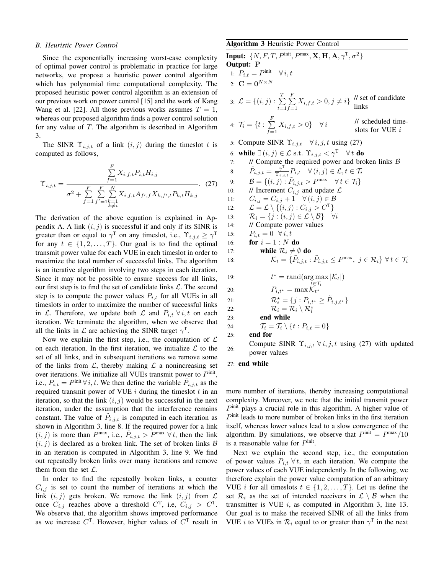#### *B. Heuristic Power Control*

Since the exponentially increasing worst-case complexity of optimal power control is problematic in practice for large networks, we propose a heuristic power control algorithm which has polynomial time computational complexity. The proposed heuristic power control algorithm is an extension of our previous work on power control [15] and the work of Kang Wang et al. [22]. All those previous works assumes  $T = 1$ , whereas our proposed algorithm finds a power control solution for any value of  $T$ . The algorithm is described in Algorithm 3.

The SINR  $\Upsilon_{i,j,t}$  of a link  $(i, j)$  during the timeslot t is computed as follows,

$$
\Upsilon_{i,j,t} = \frac{\sum_{f=1}^{F} X_{i,f,t} P_{i,t} H_{i,j}}{\sigma^2 + \sum_{f=1}^{F} \sum_{\substack{f'=1\\f'=\{t\} \neq i}}^{F} X_{i,f,t} A_{f',f} X_{k,f',t} P_{k,t} H_{k,j}}.
$$
 (27)

The derivation of the above equation is explained in Appendix A. A link  $(i, j)$  is successful if and only if its SINR is greater than or equal to  $\gamma^T$  on any timeslot, i.e.,  $\Upsilon_{i,j,t} \geq \gamma^T$ for any  $t \in \{1, 2, ..., T\}$ . Our goal is to find the optimal transmit power value for each VUE in each timeslot in order to maximize the total number of successful links. The algorithm is an iterative algorithm involving two steps in each iteration. Since it may not be possible to ensure success for all links, our first step is to find the set of candidate links  $\mathcal{L}$ . The second step is to compute the power values  $P_{i,t}$  for all VUEs in all timeslots in order to maximize the number of successful links in L. Therefore, we update both L and  $P_{i,t}$   $\forall i, t$  on each iteration. We terminate the algorithm, when we observe that all the links in  $\mathcal L$  are achieving the SINR target  $\gamma^T$ .

Now we explain the first step, i.e., the computation of  $\mathcal L$ on each iteration. In the first iteration, we initialize  $\mathcal L$  to the set of all links, and in subsequent iterations we remove some of the links from  $\mathcal{L}$ , thereby making  $\mathcal{L}$  a nonincreasing set over iterations. We initialize all VUEs transmit power to  $P^{\text{init}}$ , i.e.,  $P_{i,t} = P^{\text{init}} \,\forall \,i, t$ . We then define the variable  $\tilde{P}_{i,j,t}$  as the required transmit power of VUE  $i$  during the timeslot  $t$  in an iteration, so that the link  $(i, j)$  would be successful in the next iteration, under the assumption that the interference remains constant. The value of  $\tilde{P}_{i,j,t}$  is computed in each iteration as shown in Algorithm 3, line 8. If the required power for a link  $(i, j)$  is more than  $P^{\max}$ , i.e.,  $\tilde{P}_{i,j,t} > \overline{P}^{\max} \ \forall t$ , then the link  $(i, j)$  is declared as a broken link. The set of broken links  $\beta$ in an iteration is computed in Algorithm 3, line 9. We find out repeatedly broken links over many iterations and remove them from the set  $\mathcal{L}$ .

In order to find the repeatedly broken links, a counter  $C_{i,j}$  is set to count the number of iterations at which the link  $(i, j)$  gets broken. We remove the link  $(i, j)$  from  $\mathcal L$ once  $C_{i,j}$  reaches above a threshold  $C^{T}$ , i.e,  $C_{i,j} > C^{T}$ . We observe that, the algorithm shows improved performance as we increase  $C<sup>T</sup>$ . However, higher values of  $C<sup>T</sup>$  result in

## Algorithm 3 Heuristic Power Control

**Input:**  $\{N, F, T, P^{\text{init}}, P^{\text{max}}, \mathbf{X}, \mathbf{H}, \mathbf{A}, \gamma^{\text{T}}, \sigma^2\}$ Output: P 1:  $P_{i,t} = P^{\text{init}} \quad \forall i, t$ 2:  $\mathbf{C} = \mathbf{0}^{N \times N}$ 3:  $\mathcal{L} = \{(i, j) : \sum_{i=1}^{T}$  $t=1$  $\sum_{i=1}^{n}$  $\sum_{f=1}^{F} X_{i,f,t} > 0, j \neq i$  // set of candidate links links 4:  $\mathcal{T}_i = \{t : \sum_{i=1}^F \}$  $\sum_{f=1} X_{i,f,t} > 0$ }  $\forall i$ // scheduled timeslots for VUE  $i$ 5: Compute SINR  $\Upsilon_{i,j,t}$   $\forall i, j, t$  using (27) 6: **while**  $\exists (i, j) \in \mathcal{L}$  s.t.  $\Upsilon_{i,j,t} < \gamma^T \quad \forall t$  **do**<br>7: // Compute the required power and brown 7: // Compute the required power and broken links  $\mathcal{B}$ <br>8:  $\tilde{P}_{i,j,t} = \frac{\gamma^T}{\gamma} P_{i,t} \quad \forall (i,j) \in \mathcal{L}, t \in \mathcal{T}_i$ 8:  $\tilde{P}_{i,j,t} = \frac{\gamma^{\text{T}}}{\gamma}$  $\frac{\gamma}{\Upsilon_{i,j,t}}P_{i,t} \quad \forall (i,j) \in \mathcal{L}, t \in \mathcal{T}_i$ 9:  $\mathcal{B} = \{ (i, j) : \tilde{P}_{i, j, t} > P^{\text{max}} \quad \forall t \in \mathcal{T}_i \}$ 10: *//* Increment  $C_{i,j}$  and update  $\mathcal{L}$ <br>11:  $C_{i,j} = C_{i,j} + 1 \quad \forall (i,j) \in \mathcal{B}$ 11:  $C_{i,j} = C_{i,j} + 1 \forall (i,j) \in \mathcal{B}$ <br>
12:  $\mathcal{L} = \mathcal{L} \setminus \{(i,j) : C_{i,j} > C^{\mathsf{T}}\}$ 12:  $\mathcal{L} = \mathcal{L} \setminus \{ (i, j) : C_{i,j} > C^{\mathrm{T}} \}$ <br>13:  $\mathcal{R}_i = \{ j : (i, j) \in \mathcal{L} \setminus \mathcal{B} \}$ 13:  $\mathcal{R}_i = \{j : (i, j) \in \mathcal{L} \setminus \mathcal{B}\}$   $\forall i$ <br>14: // Compute power values // Compute power values 15:  $P_{i,t} = 0 \ \forall i, t$ <br>16: **for**  $i = 1 : N$ for  $i = 1 : N$  do 17: **while**  $\mathcal{R}_i \neq \emptyset$  **do**<br>18:  $\mathcal{K}_t = \{\tilde{P}_{i,i,t}\}$ 18:  $\mathcal{K}_t = \{ \tilde{P}_{i,j,t} : \tilde{P}_{i,j,t} \leq P^{\text{max}}, \ j \in \mathcal{R}_i \} \ \forall t \in \mathcal{T}_i$ 19:  $\tau = \text{rand}(\arg \max |\mathcal{K}_t|)$ 20:  $P_{i,t^*} = \max_{t \in \mathcal{T}_i} \mathcal{K}_{t^*}$ 21:  $\mathcal{R}_i^* = \{j : P_{i,t^*} \ge \tilde{P}_{i,j,t^*}\}$ <br>
22:  $\mathcal{R}_i = \mathcal{R}_i \setminus \mathcal{R}_i^*$ 23: end while 24:  $\mathcal{T}_i = \mathcal{T}_i \setminus \{t : P_{i,t} = 0\}$ <br>25: **end for** end for 26: Compute SINR  $\Upsilon_{i,j,t}$   $\forall i,j,t$  using (27) with updated power values 27: end while

more number of iterations, thereby increasing computational complexity. Moreover, we note that the initial transmit power  $P^{\text{init}}$  plays a crucial role in this algorithm. A higher value of  $P<sup>init</sup>$  leads to more number of broken links in the first iteration itself, whereas lower values lead to a slow convergence of the algorithm. By simulations, we observe that  $P^{\text{init}} = P^{\text{max}}/10$ is a reasonable value for  $P^{\text{init}}$ .

Next we explain the second step, i.e., the computation of power values  $P_{i,t}$   $\forall t$ , in each iteration. We compute the power values of each VUE independently. In the following, we therefore explain the power value computation of an arbitrary VUE *i* for all timeslots  $t \in \{1, 2, ..., T\}$ . Let us define the set  $\mathcal{R}_i$  as the set of intended receivers in  $\mathcal{L} \setminus \mathcal{B}$  when the transmitter is VUE  $i$ , as computed in Algorithm 3, line 13. Our goal is to make the received SINR of all the links from VUE *i* to VUEs in  $\mathcal{R}_i$  equal to or greater than  $\gamma^T$  in the next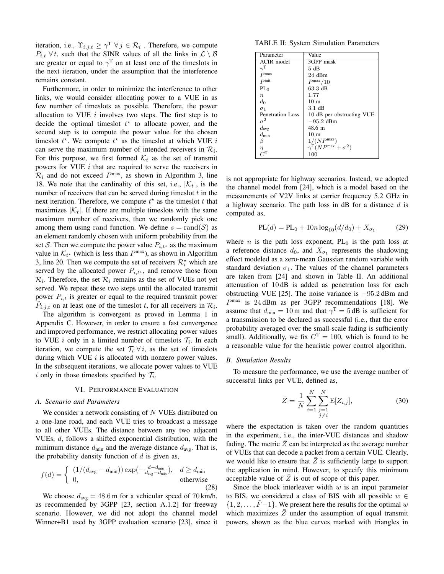iteration, i.e.,  $\Upsilon_{i,j,t} \geq \gamma^T \ \forall \ j \in \mathcal{R}_i$ . Therefore, we compute  $P_{i,t}$   $\forall t$ , such that the SINR values of all the links in  $\mathcal{L} \setminus \mathcal{B}$ are greater or equal to  $\gamma^T$  on at least one of the timeslots in the next iteration, under the assumption that the interference remains constant.

Furthermore, in order to minimize the interference to other links, we would consider allocating power to a VUE in as few number of timeslots as possible. Therefore, the power allocation to VUE  $i$  involves two steps. The first step is to decide the optimal timeslot  $t^*$  to allocate power, and the second step is to compute the power value for the chosen timeslot  $t^*$ . We compute  $t^*$  as the timeslot at which VUE i can serve the maximum number of intended receivers in  $\mathcal{R}_i$ . For this purpose, we first formed  $K_t$  as the set of transmit powers for VUE  $i$  that are required to serve the receivers in  $\mathcal{R}_i$  and do not exceed  $P^{\text{max}}$ , as shown in Algorithm 3, line 18. We note that the cardinality of this set, i.e.,  $|\mathcal{K}_t|$ , is the number of receivers that can be served during times of  $t$  in the next iteration. Therefore, we compute  $t^*$  as the timeslot  $t$  that maximizes  $|\mathcal{K}_t|$ . If there are multiple timeslots with the same maximum number of receivers, then we randomly pick one among them using rand function. We define  $s = \text{rand}(\mathcal{S})$  as an element randomly chosen with uniform probability from the set S. Then we compute the power value  $P_{i,t^*}$  as the maximum value in  $\mathcal{K}_{t^*}$  (which is less than  $P^{\text{max}}$ ), as shown in Algorithm 3, line 20. Then we compute the set of receivers  $\mathcal{R}_i^*$  which are served by the allocated power  $P_{i,t^*}$ , and remove those from  $\mathcal{R}_i$ . Therefore, the set  $\mathcal{R}_i$  remains as the set of VUEs not yet served. We repeat these two steps until the allocated transmit power  $P_{i,t}$  is greater or equal to the required transmit power  $\tilde{P}_{i,j,t}$  on at least one of the timeslot t, for all receivers in  $\mathcal{R}_i$ .

The algorithm is convergent as proved in Lemma 1 in Appendix C. However, in order to ensure a fast convergence and improved performance, we restrict allocating power values to VUE *i* only in a limited number of timeslots  $\mathcal{T}_i$ . In each iteration, we compute the set  $\mathcal{T}_i \forall i$ , as the set of timeslots during which VUE  $i$  is allocated with nonzero power values. In the subsequent iterations, we allocate power values to VUE i only in those timeslots specified by  $\mathcal{T}_i$ .

## VI. PERFORMANCE EVALUATION

## *A. Scenario and Parameters*

We consider a network consisting of N VUEs distributed on a one-lane road, and each VUE tries to broadcast a message to all other VUEs. The distance between any two adjacent VUEs, d, follows a shifted exponential distribution, with the minimum distance  $d_{\text{min}}$  and the average distance  $d_{\text{avg}}$ . That is, the probability density function of  $d$  is given as,

$$
f(d) = \begin{cases} (1/(d_{\text{avg}} - d_{\text{min}})) \exp(-\frac{d - d_{\text{min}}}{d_{\text{avg}} - d_{\text{min}}}), & d \ge d_{\text{min}} \\ 0, & \text{otherwise} \end{cases}
$$
(28)

We choose  $d_{avg} = 48.6$  m for a vehicular speed of 70 km/h, as recommended by 3GPP [23, section A.1.2] for freeway scenario. However, we did not adopt the channel model Winner+B1 used by 3GPP evaluation scenario [23], since it

TABLE II: System Simulation Parameters

| Parameter         | Value                                           |
|-------------------|-------------------------------------------------|
| ACIR model        | 3GPP mask                                       |
| $T_{\sim}$        | 5 dB                                            |
| P <sub>max</sub>  | $24$ dBm                                        |
| P <sub>init</sub> | P <sup>max</sup> /10                            |
| $PL_0$            | 63.3 dB                                         |
| $\boldsymbol{n}$  | 1.77                                            |
| $d_0$             | 10 <sub>m</sub>                                 |
| $\sigma_1$        | 3.1 dB                                          |
| Penetration Loss  | 10 dB per obstructing VUE                       |
| $\sigma^2$        | $-95.2$ dBm                                     |
| $d_{\text{avg}}$  | $48.6 \; \mathrm{m}$                            |
| $d_{\min}$        | 10 <sub>m</sub>                                 |
| β                 | $1/(NP^{max})$                                  |
| $\eta$            | $\gamma^{\text{T}}(NP^{\text{max}} + \sigma^2)$ |
|                   | 100                                             |

is not appropriate for highway scenarios. Instead, we adopted the channel model from [24], which is a model based on the measurements of V2V links at carrier frequency 5.2 GHz in a highway scenario. The path loss in dB for a distance  $d$  is computed as,

$$
PL(d) = PL_0 + 10n \log_{10}(d/d_0) + X_{\sigma_1}
$$
 (29)

where *n* is the path loss exponent,  $PL_0$  is the path loss at a reference distance  $d_0$ , and  $X_{\sigma_1}$  represents the shadowing effect modeled as a zero-mean Gaussian random variable with standard deviation  $\sigma_1$ . The values of the channel parameters are taken from [24] and shown in Table II. An additional attenuation of 10 dB is added as penetration loss for each obstructing VUE [25]. The noise variance is −95.2 dBm and  $P<sup>max</sup>$  is 24 dBm as per 3GPP recommendations [18]. We assume that  $d_{\text{min}} = 10 \,\text{m}$  and that  $\gamma^{\text{T}} = 5 \,\text{dB}$  is sufficient for a transmission to be declared as successful (i.e., that the error probability averaged over the small-scale fading is sufficiently small). Additionally, we fix  $C<sup>T</sup> = 100$ , which is found to be a reasonable value for the heuristic power control algorithm.

#### *B. Simulation Results*

To measure the performance, we use the average number of successful links per VUE, defined as,

$$
\bar{Z} = \frac{1}{N} \sum_{i=1}^{N} \sum_{\substack{j=1 \ j \neq i}}^{N} E[Z_{i,j}],
$$
 (30)

where the expectation is taken over the random quantities in the experiment, i.e., the inter-VUE distances and shadow fading. The metric  $\overline{Z}$  can be interpreted as the average number of VUEs that can decode a packet from a certain VUE. Clearly, we would like to ensure that  $\overline{Z}$  is sufficiently large to support the application in mind. However, to specify this minimum acceptable value of  $\overline{Z}$  is out of scope of this paper.

Since the block interleaver width  $w$  is an input parameter to BIS, we considered a class of BIS with all possible  $w \in$  $\{1, 2, \ldots, F-1\}$ . We present here the results for the optimal w which maximizes  $\bar{Z}$  under the assumption of equal transmit powers, shown as the blue curves marked with triangles in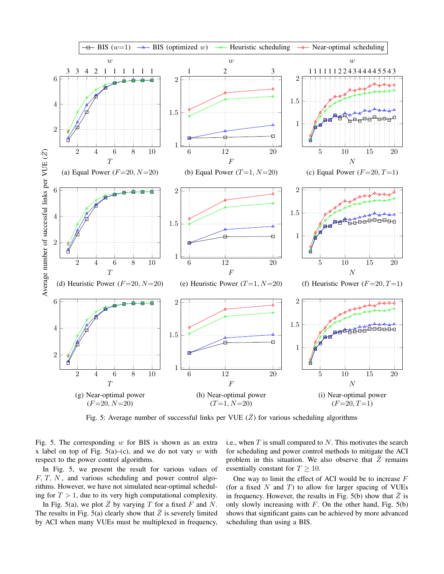

Fig. 5: Average number of successful links per VUE  $(\overline{Z})$  for various scheduling algorithms

Fig. 5. The corresponding  $w$  for BIS is shown as an extra x label on top of Fig.  $5(a)$ –(c), and we do not vary w with respect to the power control algorithms.

In Fig. 5, we present the result for various values of  $F, T, N$ , and various scheduling and power control algorithms. However, we have not simulated near-optimal scheduling for  $T > 1$ , due to its very high computational complexity.

In Fig. 5(a), we plot  $\overline{Z}$  by varying T for a fixed F and N. The results in Fig. 5(a) clearly show that  $\bar{Z}$  is severely limited by ACI when many VUEs must be multiplexed in frequency, i.e., when  $T$  is small compared to  $N$ . This motivates the search for scheduling and power control methods to mitigate the ACI problem in this situation. We also observe that  $\overline{Z}$  remains essentially constant for  $T > 10$ .

One way to limit the effect of ACI would be to increase  $F$ (for a fixed  $N$  and  $T$ ) to allow for larger spacing of VUEs in frequency. However, the results in Fig. 5(b) show that  $\overline{Z}$  is only slowly increasing with  $F$ . On the other hand, Fig.  $5(b)$ shows that significant gains can be achieved by more advanced scheduling than using a BIS.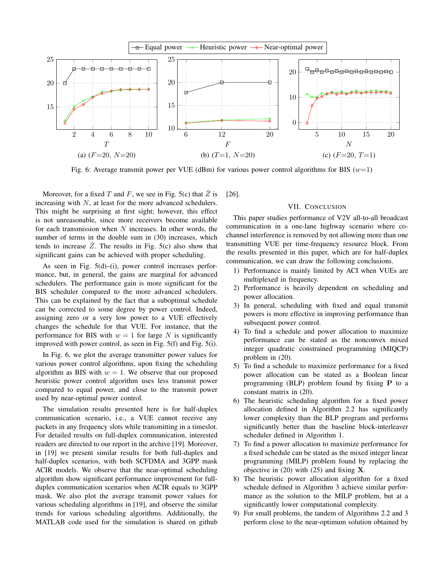

Fig. 6: Average transmit power per VUE (dBm) for various power control algorithms for BIS ( $w=1$ )

Moreover, for a fixed T and F, we see in Fig. 5(c) that  $\overline{Z}$  is increasing with  $N$ , at least for the more advanced schedulers. This might be surprising at first sight; however, this effect is not unreasonable, since more receivers become available for each transmission when  $N$  increases. In other words, the number of terms in the double sum in (30) increases, which tends to increase  $\overline{Z}$ . The results in Fig. 5(c) also show that significant gains can be achieved with proper scheduling.

As seen in Fig. 5(d)–(i), power control increases performance, but, in general, the gains are marginal for advanced schedulers. The performance gain is more significant for the BIS scheduler compared to the more advanced schedulers. This can be explained by the fact that a suboptimal schedule can be corrected to some degree by power control. Indeed, assigning zero or a very low power to a VUE effectively changes the schedule for that VUE. For instance, that the performance for BIS with  $w = 1$  for large N is significantly improved with power control, as seen in Fig. 5(f) and Fig. 5(i).

In Fig. 6, we plot the average transmitter power values for various power control algorithms, upon fixing the scheduling algorithm as BIS with  $w = 1$ . We observe that our proposed heuristic power control algorithm uses less transmit power compared to equal power, and close to the transmit power used by near-optimal power control.

The simulation results presented here is for half-duplex communication scenario, i.e., a VUE cannot receive any packets in any frequency slots while transmitting in a timeslot. For detailed results on full-duplex communication, interested readers are directed to our report in the archive [19]. Moreover, in [19] we present similar results for both full-duplex and half-duplex scenarios, with both SCFDMA and 3GPP mask ACIR models. We observe that the near-optimal scheduling algorithm show significant performance improvement for fullduplex communication scenarios when ACIR equals to 3GPP mask. We also plot the average transmit power values for various scheduling algorithms in [19], and observe the similar trends for various scheduling algorithms. Additionally, the MATLAB code used for the simulation is shared on github [26].

## VII. CONCLUSION

This paper studies performance of V2V all-to-all broadcast communication in a one-lane highway scenario where cochannel interference is removed by not allowing more than one transmitting VUE per time-frequency resource block. From the results presented in this paper, which are for half-duplex communication, we can draw the following conclusions.

- 1) Performance is mainly limited by ACI when VUEs are multiplexed in frequency.
- 2) Performance is heavily dependent on scheduling and power allocation.
- 3) In general, scheduling with fixed and equal transmit powers is more effective in improving performance than subsequent power control.
- 4) To find a schedule and power allocation to maximize performance can be stated as the nonconvex mixed integer quadratic constrained programming (MIQCP) problem in (20).
- 5) To find a schedule to maximize performance for a fixed power allocation can be stated as a Boolean linear programming (BLP) problem found by fixing P to a constant matrix in (20).
- 6) The heuristic scheduling algorithm for a fixed power allocation defined in Algorithm 2.2 has significantly lower complexity than the BLP program and performs significantly better than the baseline block-interleaver scheduler defined in Algorithm 1.
- 7) To find a power allocation to maximize performance for a fixed schedule can be stated as the mixed integer linear programming (MILP) problem found by replacing the objective in  $(20)$  with  $(25)$  and fixing **X**.
- 8) The heuristic power allocation algorithm for a fixed schedule defined in Algorithm 3 achieve similar performance as the solution to the MILP problem, but at a significantly lower computational complexity.
- 9) For small problems, the tandem of Algorithms 2.2 and 3 perform close to the near-optimum solution obtained by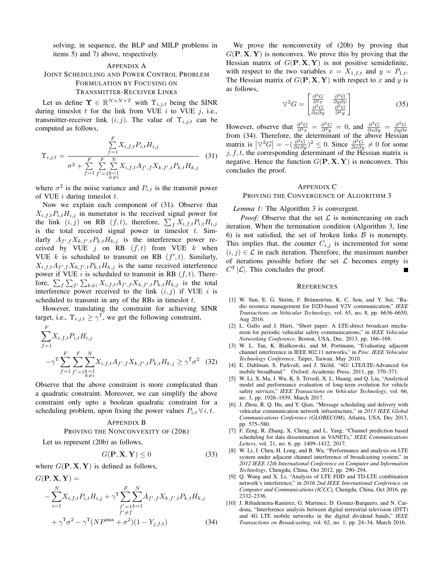solving, in sequence, the BLP and MILP problems in items 5) and 7) above, respectively.

# APPENDIX A JOINT SCHEDULING AND POWER CONTROL PROBLEM FORMULATION BY FOCUSING ON TRANSMITTER-RECEIVER LINKS

Let us define  $\Upsilon \in \mathbb{R}^{N \times N \times T}$  with  $\Upsilon_{i,j,t}$  being the SINR during timeslot  $t$  for the link from VUE  $i$  to VUE  $j$ , i.e., transmitter-receiver link  $(i, j)$ . The value of  $\Upsilon_{i, j, t}$  can be computed as follows,

$$
\Upsilon_{i,j,t} = \frac{\sum_{f=1}^{F} X_{i,f,t} P_{i,t} H_{i,j}}{\sigma^2 + \sum_{f=1}^{F} \sum_{f'=1}^{F} \sum_{k=1}^{N} X_{i,f,t} A_{f',f} X_{k,f',t} P_{k,t} H_{k,j}}
$$
(31)

where  $\sigma^2$  is the noise variance and  $P_{i,t}$  is the transmit power of VUE  $i$  during timeslot  $t$ .

Now we explain each component of (31). Observe that  $X_{i,f,t}P_{i,t}H_{i,j}$  in numerator is the received signal power for the link  $(i, j)$  on RB  $(f, t)$ , therefore,  $\sum_{f} X_{i, f, t} P_{i, t} H_{i, j}$ is the total received signal power in timeslot  $t$ . Similarly  $A_{f',f}X_{k,f',t}P_{k,t}H_{k,j}$  is the interference power received by VUE  $j$  on RB  $(f, t)$  from VUE  $k$  when VUE  $k$  is scheduled to transmit on RB  $(f', t)$ . Similarly,  $X_{i,f,t}A_{f',f}X_{k,f',t}P_{k,t}H_{k,j}$  is the same received interference power if VUE  $i$  is scheduled to transmit in RB  $(f, t)$ . Therefore,  $\sum_{f} \sum_{f'} \sum_{k \neq i} X_{i,f,t} A_{f',f} X_{k,f',t} P_{k,t} H_{k,j}$  is the total interference power received to the link  $(i, j)$  if VUE i is scheduled to transmit in any of the RBs in times lot  $t$ .

However, translating the constraint for achieving SINR target, i.e.,  $\Upsilon_{i,j,t} \geq \gamma^{\mathrm{T}}$ , we get the following constraint,

$$
\sum_{f=1}^{F} X_{i,f,t} P_{i,t} H_{i,j}
$$
\n
$$
-\gamma^{\mathrm{T}} \sum_{f=1}^{F} \sum_{\substack{f'=1}}^{F} \sum_{\substack{k=1 \ k \neq i}}^{N} X_{i,f,t} A_{f',f} X_{k,f',t} P_{k,t} H_{k,j} \ge \gamma^{\mathrm{T}} \sigma^2 \quad (32)
$$

Observe that the above constraint is more complicated than a quadratic constraint. Moreover, we can simplify the above constraint only upto a boolean quadratic constraint for a scheduling problem, upon fixing the power values  $P_{i,t} \,\forall \,i, t$ .

#### APPENDIX B

# PROVING THE NONCONVEXITY OF (20B)

Let us represent (20b) as follows,

$$
G(\mathbf{P}, \mathbf{X}, \mathbf{Y}) \le 0 \tag{33}
$$

where  $G(\mathbf{P}, \mathbf{X}, \mathbf{Y})$  is defined as follows,

$$
G(\mathbf{P}, \mathbf{X}, \mathbf{Y}) =
$$
  
-
$$
\sum_{i=1}^{N} X_{i,f,t} P_{i,t} H_{i,j} + \gamma^{\mathrm{T}} \sum_{f'=1}^{F} \sum_{k=1}^{N} A_{f',f} X_{k,f',t} P_{k,t} H_{k,j}
$$
  
+
$$
\gamma^{\mathrm{T}} \sigma^{2} - \gamma^{\mathrm{T}} (NP^{\max} + \sigma^{2}) (1 - Y_{j,f,t})
$$
(34)

We prove the nonconvexity of (20b) by proving that  $G(\mathbf{P}, \mathbf{X}, \mathbf{Y})$  is nonconvex. We prove this by proving that the Hessian matrix of  $G(\mathbf{P}, \mathbf{X}, \mathbf{Y})$  is not positive semidefinite, with respect to the two variables  $x = X_{1,f,t}$  and  $y = P_{1,t}$ . The Hessian matrix of  $G(\mathbf{P}, \mathbf{X}, \mathbf{Y})$  with respect to x and y is as follows,

$$
\nabla^2 G = \begin{bmatrix} \frac{\partial^2 G}{\partial^2 x} & \frac{\partial^2 G}{\partial y \partial x} \\ \frac{\partial^2 G}{\partial x \partial y} & \frac{\partial^2 G}{\partial^2 y} \end{bmatrix}
$$
(35)

However, observe that  $\frac{\partial^2 G}{\partial x^2} = \frac{\partial^2 G}{\partial y \partial y} = 0$ , and  $\frac{\partial^2 G}{\partial x \partial y} = \frac{\partial^2 G}{\partial y \partial x}$  from (34). Therefore, the determinant of the above Hessian matrix is  $|\nabla^2 G| = -\left(\frac{\partial^2 G}{\partial x \partial y}\right)^2 \leq 0$ . Since  $\frac{\partial^2 G}{\partial x \partial y} \neq 0$  for some  $j, f, t$ , the corresponding determinant of the Hessian matrix is negative. Hence the function  $G(\mathbf{P}, \mathbf{X}, \mathbf{Y})$  is nonconvex. This concludes the proof.

# APPENDIX C

# PROVING THE CONVERGENCE OF ALGORITHM 3

*Lemma 1:* The Algorithm 3 is convergent.

*Proof:* Observe that the set  $\mathcal L$  is nonincreasing on each iteration. When the termination condition (Algorithm 3, line 6) is not satisfied, the set of broken links  $\beta$  is nonempty. This implies that, the counter  $C_{i,j}$  is incremented for some  $(i, j) \in \mathcal{L}$  in each iteration. Therefore, the maximum number of iterations possible before the set  $\mathcal L$  becomes empty is  $C^{T}|\mathcal{L}|$ . This concludes the proof.

#### **REFERENCES**

- [1] W. Sun, E. G. Ström, F. Brännström, K. C. Sou, and Y. Sui, "Radio resource management for D2D-based V2V communication," *IEEE Transactions on Vehicular Technology*, vol. 65, no. 8, pp. 6636–6650, Aug 2016.
- [2] L. Gallo and J. Härri, "Short paper: A LTE-direct broadcast mechanism for periodic vehicular safety communications," in *IEEE Vehicular Networking Conference*, Boston, USA, Dec. 2013, pp. 166–169.
- [3] W. L. Tan, K. Bialkowski, and M. Portmann, "Evaluating adjacent channel interference in IEEE 802.11 networks," in *Proc. IEEE Vehicular Technology Conference*, Taipei, Taiwan, May 2010.
- [4] E. Dahlman, S. Parkvall, and J. Sköld, "4G: LTE/LTE-Advanced for mobile broadband." Oxford: Academic Press, 2011, pp. 370–371.
- [5] W. Li, X. Ma, J. Wu, K. S. Trivedi, X. L. Huang, and Q. Liu, "Analytical model and performance evaluation of long-term evolution for vehicle safety services," *IEEE Transactions on Vehicular Technology*, vol. 66, no. 3, pp. 1926–1939, March 2017.
- [6] J. Zhou, R. Q. Hu, and Y. Qian, "Message scheduling and delivery with vehicular communication network infrastructure," in *2013 IEEE Global Communications Conference (GLOBECOM)*, Atlanta, USA, Dec 2013, pp. 575–580.
- [7] F. Zeng, R. Zhang, X. Cheng, and L. Yang, "Channel prediction based scheduling for data dissemination in VANETs," *IEEE Communications Letters*, vol. 21, no. 6, pp. 1409–1412, 2017.
- [8] W. Li, J. Chen, H. Long, and B. Wu, "Performance and analysis on LTE system under adjacent channel interference of broadcasting system," in *2012 IEEE 12th International Conference on Computer and Information Technology*, Chengdu, China, Oct 2012, pp. 290–294.
- [9] Q. Wang and X. Li, "Analysis of LTE FDD and TD-LTE combination network's interference," in *2016 2nd IEEE International Conference on Computer and Communications (ICCC)*, Chengdu, China, Oct 2016, pp. 2332–2336.
- [10] J. Ribadeneira-Ramirez, G. Martinez, D. Gomez-Barquero, and N. Cardona, "Interference analysis between digital terrestrial television (DTT) and 4G LTE mobile networks in the digital dividend bands," *IEEE Transactions on Broadcasting*, vol. 62, no. 1, pp. 24–34, March 2016.